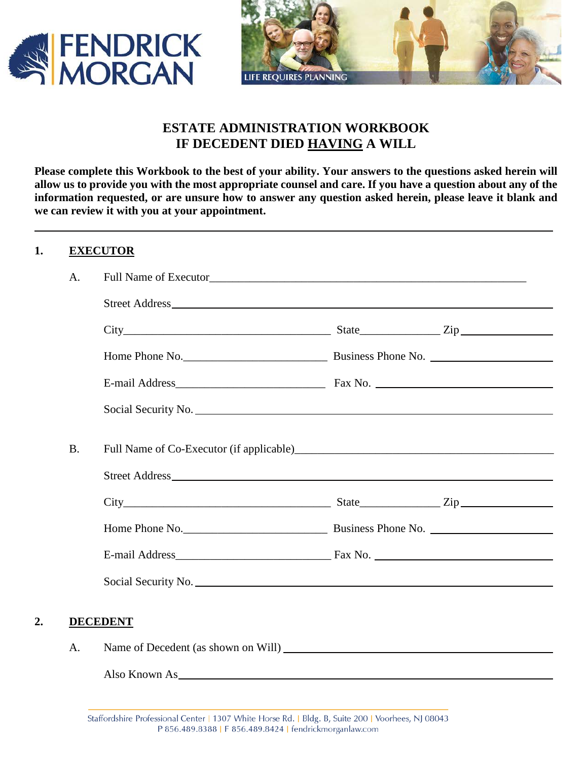



# **ESTATE ADMINISTRATION WORKBOOK IF DECEDENT DIED HAVING A WILL**

**Please complete this Workbook to the best of your ability. Your answers to the questions asked herein will allow us to provide you with the most appropriate counsel and care. If you have a question about any of the information requested, or are unsure how to answer any question asked herein, please leave it blank and we can review it with you at your appointment.** 

## **1. EXECUTOR**

|    | A.        |                                                   |  |
|----|-----------|---------------------------------------------------|--|
|    |           |                                                   |  |
|    |           | $City$ $City$ $Zip$                               |  |
|    |           |                                                   |  |
|    |           |                                                   |  |
|    |           | Social Security No. 2008. The Social Security No. |  |
|    | <b>B.</b> |                                                   |  |
|    |           |                                                   |  |
|    |           | $City$ $City$ $Zip$                               |  |
|    |           |                                                   |  |
|    |           |                                                   |  |
|    |           |                                                   |  |
|    |           |                                                   |  |
| 2. |           | <b>DECEDENT</b>                                   |  |
|    | A.        |                                                   |  |

Also Known As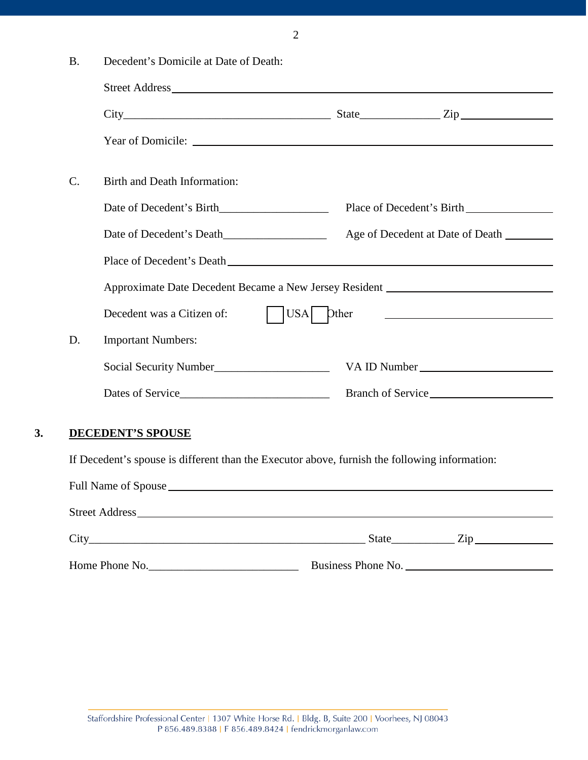| v<br>۰,<br>I     |
|------------------|
| I<br>I<br>I<br>٦ |
|                  |

| <b>B.</b> | Decedent's Domicile at Date of Death:                                                         |                                                        |  |
|-----------|-----------------------------------------------------------------------------------------------|--------------------------------------------------------|--|
|           |                                                                                               |                                                        |  |
|           | $City$ $City$ $Zip$                                                                           |                                                        |  |
|           |                                                                                               |                                                        |  |
| $C$ .     | Birth and Death Information:                                                                  |                                                        |  |
|           |                                                                                               |                                                        |  |
|           |                                                                                               | Age of Decedent at Date of Death ________              |  |
|           |                                                                                               |                                                        |  |
|           | Approximate Date Decedent Became a New Jersey Resident __________________________             |                                                        |  |
|           | $ $ USA Dther<br>Decedent was a Citizen of:                                                   | <u> 1989 - Andrea Station, Amerikaansk politiker (</u> |  |
| D.        | <b>Important Numbers:</b>                                                                     |                                                        |  |
|           |                                                                                               |                                                        |  |
|           | Dates of Service                                                                              |                                                        |  |
|           | <b>DECEDENT'S SPOUSE</b>                                                                      |                                                        |  |
|           | If Decedent's spouse is different than the Executor above, furnish the following information: |                                                        |  |
|           |                                                                                               |                                                        |  |
|           |                                                                                               |                                                        |  |
|           |                                                                                               | $City$ $City$ $Zip$                                    |  |

Home Phone No.\_\_\_\_\_\_\_\_\_\_\_\_\_\_\_\_\_\_\_\_\_\_\_\_\_\_ Business Phone No.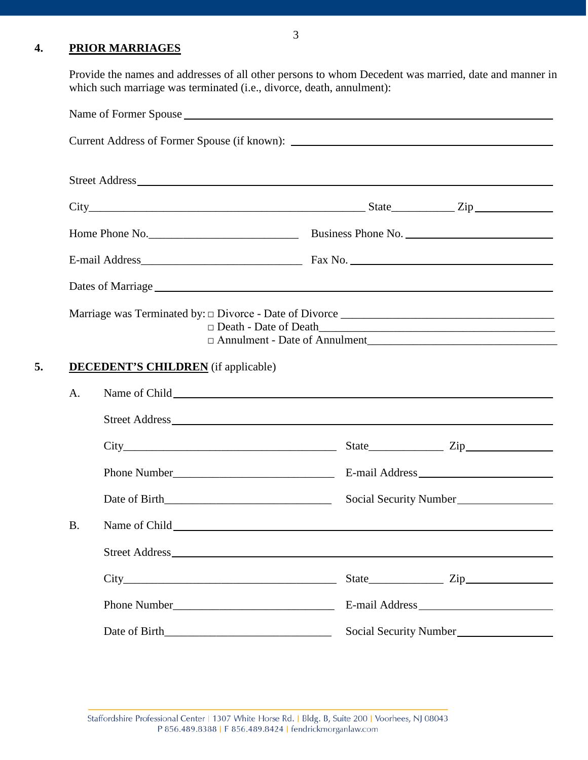## **4. PRIOR MARRIAGES**

Provide the names and addresses of all other persons to whom Decedent was married, date and manner in which such marriage was terminated (i.e., divorce, death, annulment):

| $City$ $City$ $Zip$ $Zip$<br>$\Box$ Death - Date of Death<br>□ Annulment - Date of Annulment<br><b>DECEDENT'S CHILDREN</b> (if applicable)<br>A.<br>$City$ $City$ $Zip$ $Type$<br><b>B.</b><br>Name of Child has been also been also been also been also been also been also been also been also been also been also been also been also been also been also been also been also been also been also been also been also been |  |  |                        |
|-------------------------------------------------------------------------------------------------------------------------------------------------------------------------------------------------------------------------------------------------------------------------------------------------------------------------------------------------------------------------------------------------------------------------------|--|--|------------------------|
|                                                                                                                                                                                                                                                                                                                                                                                                                               |  |  |                        |
|                                                                                                                                                                                                                                                                                                                                                                                                                               |  |  |                        |
|                                                                                                                                                                                                                                                                                                                                                                                                                               |  |  |                        |
|                                                                                                                                                                                                                                                                                                                                                                                                                               |  |  |                        |
|                                                                                                                                                                                                                                                                                                                                                                                                                               |  |  |                        |
|                                                                                                                                                                                                                                                                                                                                                                                                                               |  |  |                        |
|                                                                                                                                                                                                                                                                                                                                                                                                                               |  |  |                        |
|                                                                                                                                                                                                                                                                                                                                                                                                                               |  |  |                        |
|                                                                                                                                                                                                                                                                                                                                                                                                                               |  |  |                        |
|                                                                                                                                                                                                                                                                                                                                                                                                                               |  |  | Social Security Number |
|                                                                                                                                                                                                                                                                                                                                                                                                                               |  |  |                        |
|                                                                                                                                                                                                                                                                                                                                                                                                                               |  |  |                        |
|                                                                                                                                                                                                                                                                                                                                                                                                                               |  |  |                        |
|                                                                                                                                                                                                                                                                                                                                                                                                                               |  |  |                        |
|                                                                                                                                                                                                                                                                                                                                                                                                                               |  |  |                        |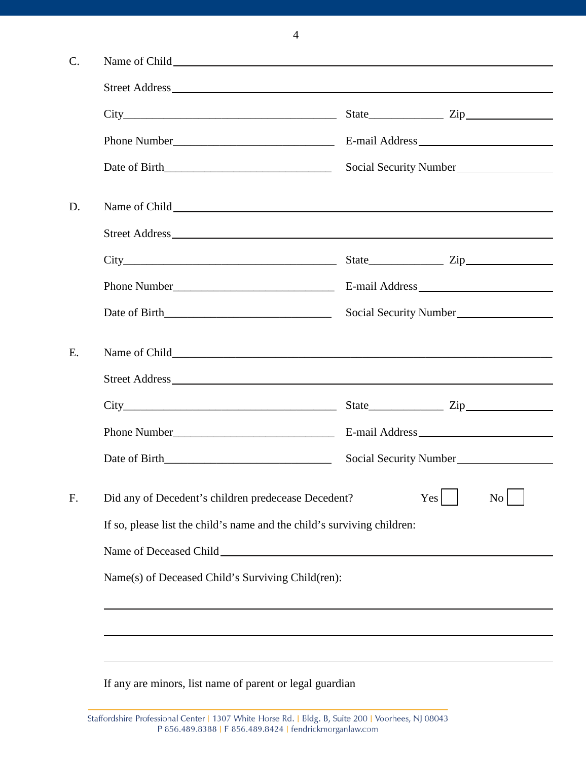|                                                                         | Social Security Number |  |  |
|-------------------------------------------------------------------------|------------------------|--|--|
|                                                                         |                        |  |  |
|                                                                         |                        |  |  |
|                                                                         | $City$ $Zip$ $Zip$     |  |  |
|                                                                         |                        |  |  |
|                                                                         | Social Security Number |  |  |
|                                                                         |                        |  |  |
|                                                                         |                        |  |  |
|                                                                         |                        |  |  |
|                                                                         |                        |  |  |
| Date of Birth                                                           | Social Security Number |  |  |
| Did any of Decedent's children predecease Decedent?                     | Yes<br>N <sub>0</sub>  |  |  |
| If so, please list the child's name and the child's surviving children: |                        |  |  |
|                                                                         |                        |  |  |
| Name(s) of Deceased Child's Surviving Child(ren):                       |                        |  |  |
|                                                                         |                        |  |  |
|                                                                         |                        |  |  |
|                                                                         |                        |  |  |

If any are minors, list name of parent or legal guardian

4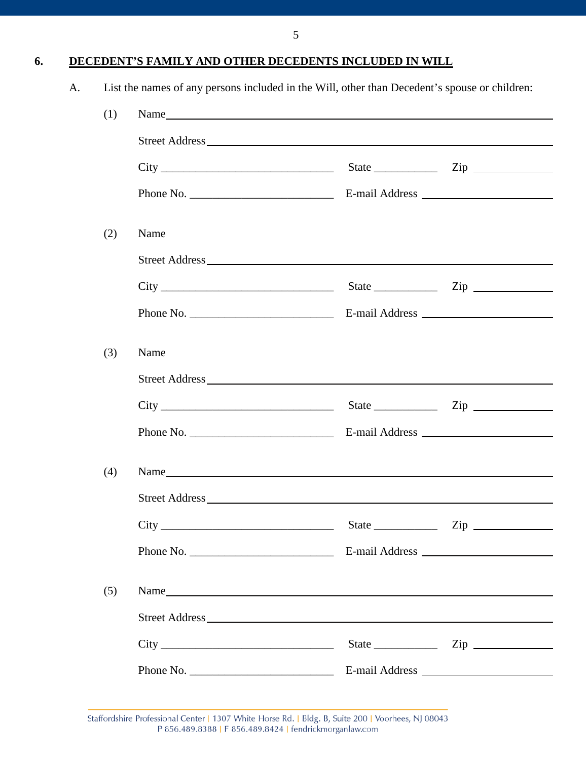**6. DECEDENT'S FAMILY AND OTHER DECEDENTS INCLUDED IN WILL**

|  | List the names of any persons included in the Will, other than Decedent's spouse or children: |  |
|--|-----------------------------------------------------------------------------------------------|--|
|  |                                                                                               |  |

| (1) |                         |  |                                       |  |  |
|-----|-------------------------|--|---------------------------------------|--|--|
|     |                         |  |                                       |  |  |
|     | $City$ $Zip$ $Step$     |  |                                       |  |  |
|     |                         |  |                                       |  |  |
| (2) | Name                    |  |                                       |  |  |
|     |                         |  |                                       |  |  |
|     | $City$ $2ip$ $2ip$      |  |                                       |  |  |
|     |                         |  |                                       |  |  |
| (3) | Name                    |  |                                       |  |  |
|     |                         |  |                                       |  |  |
|     |                         |  |                                       |  |  |
|     |                         |  |                                       |  |  |
| (4) | Name                    |  |                                       |  |  |
|     |                         |  |                                       |  |  |
|     |                         |  |                                       |  |  |
|     |                         |  |                                       |  |  |
| (5) |                         |  |                                       |  |  |
|     |                         |  |                                       |  |  |
|     |                         |  | State $\frac{\text{Xip}}{\text{Xip}}$ |  |  |
|     | Phone No. $\frac{1}{2}$ |  |                                       |  |  |

Staffordshire Professional Center | 1307 White Horse Rd. | Bldg. B, Suite 200 | Voorhees, NJ 08043 P 856.489.8388 | F 856.489.8424 | fendrickmorganlaw.com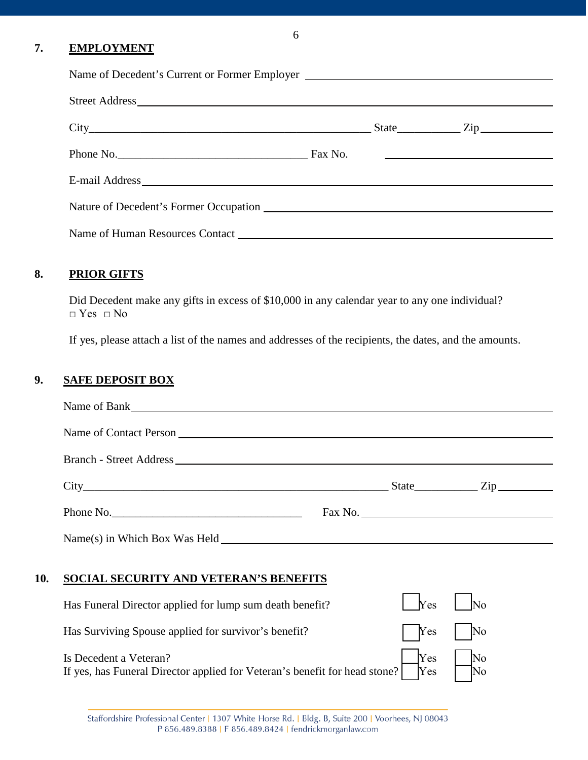# **7. EMPLOYMENT**

| Name of Decedent's Current or Former Employer                                                                                                                                                                                  |  |  |
|--------------------------------------------------------------------------------------------------------------------------------------------------------------------------------------------------------------------------------|--|--|
|                                                                                                                                                                                                                                |  |  |
|                                                                                                                                                                                                                                |  |  |
| Phone No. The Commission of the Commission Commission Commission Commission Commission Commission Commission Commission Commission Commission Commission Commission Commission Commission Commission Commission Commission Com |  |  |
|                                                                                                                                                                                                                                |  |  |
|                                                                                                                                                                                                                                |  |  |
|                                                                                                                                                                                                                                |  |  |

### **8. PRIOR GIFTS**

Did Decedent make any gifts in excess of \$10,000 in any calendar year to any one individual? □ Yes □ No

If yes, please attach a list of the names and addresses of the recipients, the dates, and the amounts.

### **9. SAFE DEPOSIT BOX**

|     | Name of Bank                                                                                         |                   |          |
|-----|------------------------------------------------------------------------------------------------------|-------------------|----------|
|     |                                                                                                      |                   |          |
|     |                                                                                                      |                   |          |
|     | $City$ $City$ $Zip$                                                                                  |                   |          |
|     | Phone No.                                                                                            | Fax No.           |          |
|     | Name(s) in Which Box Was Held                                                                        |                   |          |
| 10. | SOCIAL SECURITY AND VETERAN'S BENEFITS                                                               |                   |          |
|     | Has Funeral Director applied for lump sum death benefit?                                             | Yes               | No       |
|     | Has Surviving Spouse applied for survivor's benefit?                                                 | Yes               | No       |
|     | Is Decedent a Veteran?<br>If yes, has Funeral Director applied for Veteran's benefit for head stone? | <b>Yes</b><br>Yes | No<br>No |

6